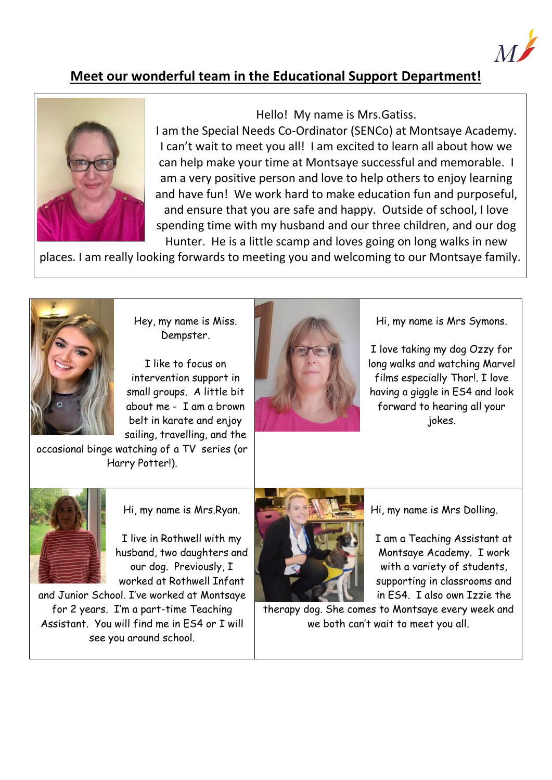

## **Meet our wonderful team in the Educational Support Department!**



## Hello! My name is Mrs.Gatiss.

I am the Special Needs Co-Ordinator (SENCo) at Montsaye Academy. I can't wait to meet you all! I am excited to learn all about how we can help make your time at Montsaye successful and memorable. I am a very positive person and love to help others to enjoy learning and have fun! We work hard to make education fun and purposeful, and ensure that you are safe and happy. Outside of school, I love spending time with my husband and our three children, and our dog Hunter. He is a little scamp and loves going on long walks in new

places. I am really looking forwards to meeting you and welcoming to our Montsaye family.



Hey, my name is Miss. Dempster.

I like to focus on intervention support in small groups. A little bit about me - I am a brown belt in karate and enjoy sailing, travelling, and the



Hi, my name is Mrs Symons.

I love taking my dog Ozzy for long walks and watching Marvel films especially Thor!. I love having a giggle in ES4 and look forward to hearing all your jokes.

occasional binge watching of a TV series (or Harry Potter!).



Hi, my name is Mrs.Ryan.

I live in Rothwell with my husband, two daughters and our dog. Previously, I worked at Rothwell Infant

and Junior School. I've worked at Montsaye for 2 years. I'm a part-time Teaching Assistant. You will find me in ES4 or I will see you around school.



Hi, my name is Mrs Dolling.

I am a Teaching Assistant at Montsaye Academy. I work with a variety of students, supporting in classrooms and in ES4. I also own Izzie the

therapy dog. She comes to Montsaye every week and we both can't wait to meet you all.